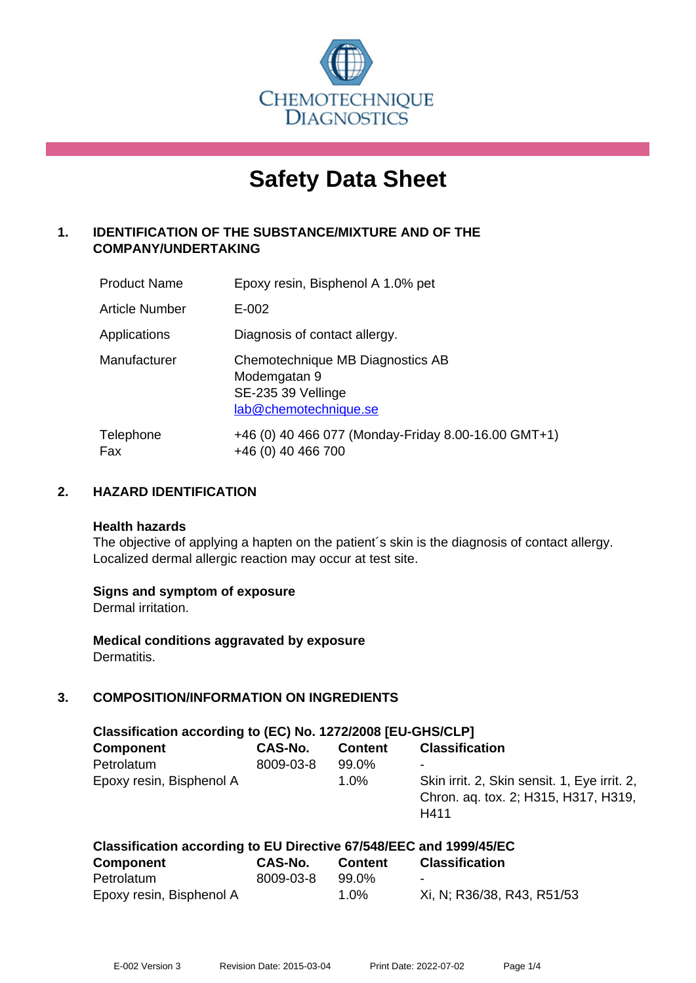

# **Safety Data Sheet**

# **1. IDENTIFICATION OF THE SUBSTANCE/MIXTURE AND OF THE COMPANY/UNDERTAKING**

| <b>Product Name</b> | Epoxy resin, Bisphenol A 1.0% pet                                                               |
|---------------------|-------------------------------------------------------------------------------------------------|
| Article Number      | $E - 002$                                                                                       |
| Applications        | Diagnosis of contact allergy.                                                                   |
| Manufacturer        | Chemotechnique MB Diagnostics AB<br>Modemgatan 9<br>SE-235 39 Vellinge<br>lab@chemotechnique.se |
| Telephone<br>Fax    | +46 (0) 40 466 077 (Monday-Friday 8.00-16.00 GMT+1)<br>+46 (0) 40 466 700                       |

## **2. HAZARD IDENTIFICATION**

#### **Health hazards**

The objective of applying a hapten on the patient's skin is the diagnosis of contact allergy. Localized dermal allergic reaction may occur at test site.

## **Signs and symptom of exposure**

Dermal irritation.

**Medical conditions aggravated by exposure** Dermatitis.

# **3. COMPOSITION/INFORMATION ON INGREDIENTS**

| Classification according to (EC) No. 1272/2008 [EU-GHS/CLP] |           |                |                                                                                              |  |  |  |
|-------------------------------------------------------------|-----------|----------------|----------------------------------------------------------------------------------------------|--|--|--|
| <b>Component</b>                                            | CAS-No.   | <b>Content</b> | <b>Classification</b>                                                                        |  |  |  |
| Petrolatum                                                  | 8009-03-8 | 99.0%          |                                                                                              |  |  |  |
| Epoxy resin, Bisphenol A                                    |           | $1.0\%$        | Skin irrit. 2, Skin sensit. 1, Eye irrit. 2,<br>Chron. ag. tox. 2; H315, H317, H319,<br>H411 |  |  |  |

| Classification according to EU Directive 67/548/EEC and 1999/45/EC |           |                |                            |  |  |  |
|--------------------------------------------------------------------|-----------|----------------|----------------------------|--|--|--|
| <b>Component</b>                                                   | CAS-No.   | <b>Content</b> | <b>Classification</b>      |  |  |  |
| Petrolatum                                                         | 8009-03-8 | 99.0%          | $\blacksquare$             |  |  |  |
| Epoxy resin, Bisphenol A                                           |           | $1.0\%$        | Xi, N; R36/38, R43, R51/53 |  |  |  |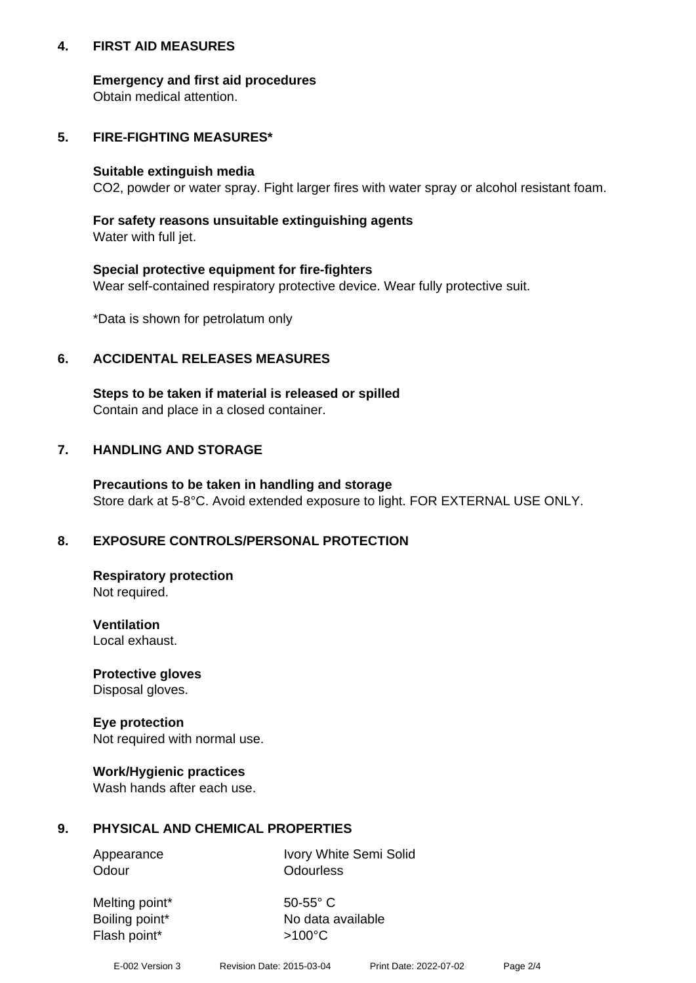## **4. FIRST AID MEASURES**

## **Emergency and first aid procedures**

Obtain medical attention.

# **5. FIRE-FIGHTING MEASURES\***

#### **Suitable extinguish media**

CO2, powder or water spray. Fight larger fires with water spray or alcohol resistant foam.

# **For safety reasons unsuitable extinguishing agents**

Water with full jet.

## **Special protective equipment for fire-fighters**

Wear self-contained respiratory protective device. Wear fully protective suit.

\*Data is shown for petrolatum only

## **6. ACCIDENTAL RELEASES MEASURES**

**Steps to be taken if material is released or spilled** Contain and place in a closed container.

# **7. HANDLING AND STORAGE**

**Precautions to be taken in handling and storage** Store dark at 5-8°C. Avoid extended exposure to light. FOR EXTERNAL USE ONLY.

# **8. EXPOSURE CONTROLS/PERSONAL PROTECTION**

**Respiratory protection** Not required.

**Ventilation** Local exhaust.

**Protective gloves** Disposal gloves.

#### **Eye protection** Not required with normal use.

## **Work/Hygienic practices**

Wash hands after each use.

## **9. PHYSICAL AND CHEMICAL PROPERTIES**

Odour **Odourless** 

Appearance Ivory White Semi Solid

Melting point\* 50-55° C Flash point\*  $>100^{\circ}$ C

Boiling point\* No data available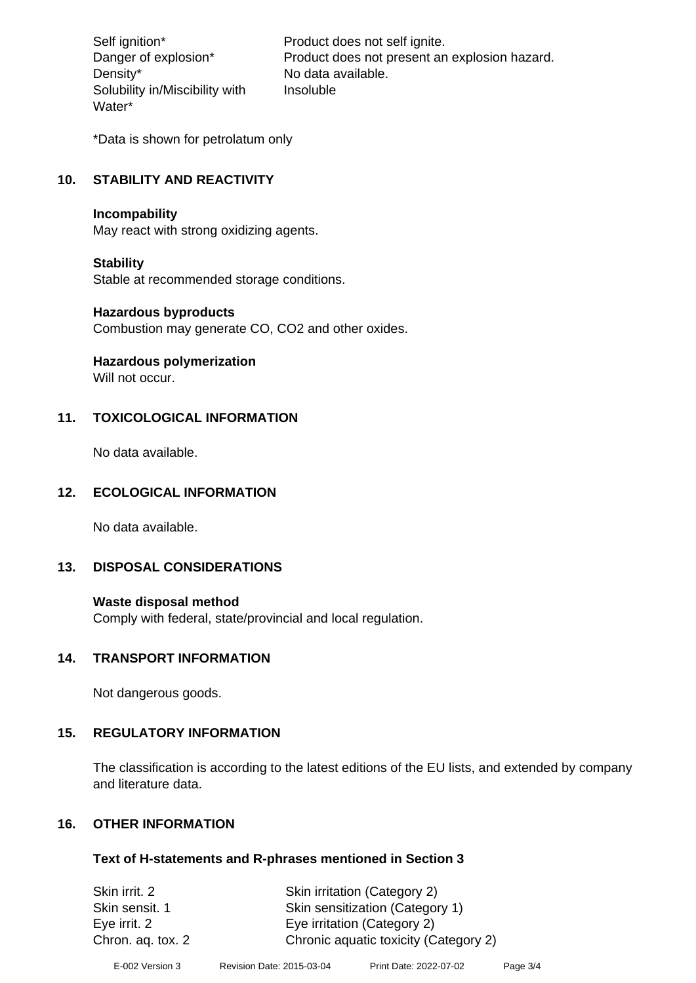Density\* No data available. Solubility in/Miscibility with Water\*

Self ignition\* Product does not self ignite. Danger of explosion\* Product does not present an explosion hazard. Insoluble

\*Data is shown for petrolatum only

# **10. STABILITY AND REACTIVITY**

#### **Incompability**

May react with strong oxidizing agents.

#### **Stability**

Stable at recommended storage conditions.

#### **Hazardous byproducts**

Combustion may generate CO, CO2 and other oxides.

**Hazardous polymerization**

Will not occur.

## **11. TOXICOLOGICAL INFORMATION**

No data available.

## **12. ECOLOGICAL INFORMATION**

No data available.

## **13. DISPOSAL CONSIDERATIONS**

#### **Waste disposal method**

Comply with federal, state/provincial and local regulation.

#### **14. TRANSPORT INFORMATION**

Not dangerous goods.

## **15. REGULATORY INFORMATION**

The classification is according to the latest editions of the EU lists, and extended by company and literature data.

## **16. OTHER INFORMATION**

#### **Text of H-statements and R-phrases mentioned in Section 3**

| Skin irrit. 2     | Skin irritation (Category 2)          |
|-------------------|---------------------------------------|
| Skin sensit. 1    | Skin sensitization (Category 1)       |
| Eye irrit. 2      | Eye irritation (Category 2)           |
| Chron. aq. tox. 2 | Chronic aquatic toxicity (Category 2) |
|                   |                                       |